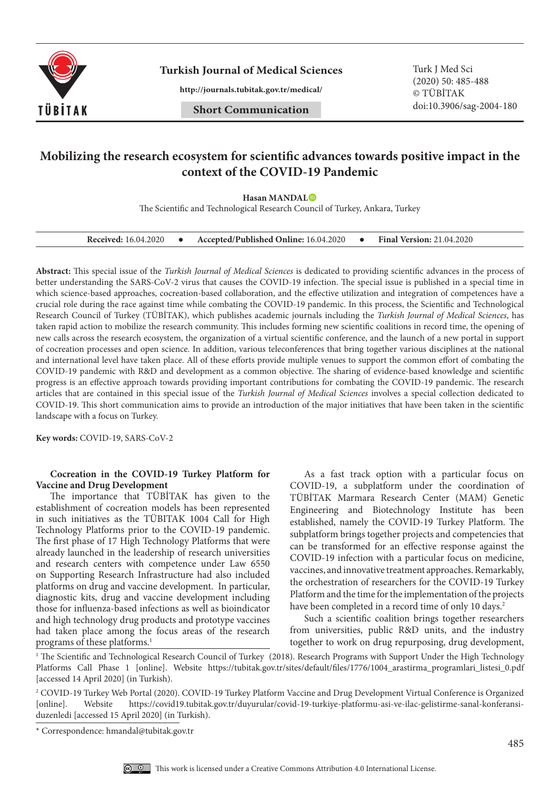

**Turkish Journal of Medical Sciences** Turk J Med Sci

**http://journals.tubitak.gov.tr/medical/**

(2020) 50: 485-488 © TÜBİTAK doi:10.3906/sag-2004-180

# **Mobilizing the research ecosystem for scientific advances towards positive impact in the context of the COVID-19 Pandemic**

**Hasan MANDAL**

The Scientific and Technological Research Council of Turkey, Ankara, Turkey

| <b>Received:</b> 16.04.2020 |  | Accepted/Published Online: 16.04.2020 |  | <b>Final Version: 21.04.2020</b> |
|-----------------------------|--|---------------------------------------|--|----------------------------------|
|-----------------------------|--|---------------------------------------|--|----------------------------------|

**Abstract:** This special issue of the *Turkish Journal of Medical Sciences* is dedicated to providing scientific advances in the process of better understanding the SARS-CoV-2 virus that causes the COVID-19 infection. The special issue is published in a special time in which science-based approaches, cocreation-based collaboration, and the effective utilization and integration of competences have a crucial role during the race against time while combating the COVID-19 pandemic. In this process, the Scientific and Technological Research Council of Turkey (TÜBİTAK), which publishes academic journals including the *Turkish Journal of Medical Sciences*, has taken rapid action to mobilize the research community. This includes forming new scientific coalitions in record time, the opening of new calls across the research ecosystem, the organization of a virtual scientific conference, and the launch of a new portal in support of cocreation processes and open science. In addition, various teleconferences that bring together various disciplines at the national and international level have taken place. All of these efforts provide multiple venues to support the common effort of combating the COVID-19 pandemic with R&D and development as a common objective. The sharing of evidence-based knowledge and scientific progress is an effective approach towards providing important contributions for combating the COVID-19 pandemic. The research articles that are contained in this special issue of the *Turkish Journal of Medical Sciences* involves a special collection dedicated to COVID-19. This short communication aims to provide an introduction of the major initiatives that have been taken in the scientific landscape with a focus on Turkey.

**Key words:** COVID-19, SARS-CoV-2

#### **Cocreation in the COVID-19 Turkey Platform for Vaccine and Drug Development**

The importance that TÜBİTAK has given to the establishment of cocreation models has been represented in such initiatives as the TÜBITAK 1004 Call for High Technology Platforms prior to the COVID-19 pandemic. The first phase of 17 High Technology Platforms that were already launched in the leadership of research universities and research centers with competence under Law 6550 on Supporting Research Infrastructure had also included platforms on drug and vaccine development. In particular, diagnostic kits, drug and vaccine development including those for influenza-based infections as well as bioindicator and high technology drug products and prototype vaccines had taken place among the focus areas of the research programs of these platforms.<sup>1</sup>

As a fast track option with a particular focus on COVID-19, a subplatform under the coordination of TÜBİTAK Marmara Research Center (MAM) Genetic Engineering and Biotechnology Institute has been established, namely the COVID-19 Turkey Platform. The subplatform brings together projects and competencies that can be transformed for an effective response against the COVID-19 infection with a particular focus on medicine, vaccines, and innovative treatment approaches. Remarkably, the orchestration of researchers for the COVID-19 Turkey Platform and the time for the implementation of the projects have been completed in a record time of only 10 days.<sup>2</sup>

Such a scientific coalition brings together researchers from universities, public R&D units, and the industry together to work on drug repurposing, drug development,

<sup>1</sup> The Scientific and Technological Research Council of Turkey (2018). Research Programs with Support Under the High Technology Platforms Call Phase 1 [online]. Website https://tubitak.gov.tr/sites/default/files/1776/1004\_arastirma\_programlari\_listesi\_0.pdf [accessed 14 April 2020] (in Turkish).

<sup>2</sup> COVID-19 Turkey Web Portal (2020). COVID-19 Turkey Platform Vaccine and Drug Development Virtual Conference is Organized [online]. Website https://covid19.tubitak.gov.tr/duyurular/covid-19-turkiye-platformu-asi-ve-ilac [online]. Website https://covid19.tubitak.gov.tr/duyurular/covid-19-turkiye-platformu-asi-ve-ilac-gelistirme-sanal-konferansiduzenledi [accessed 15 April 2020] (in Turkish).

<sup>\*</sup> Correspondence: hmandal@tubitak.gov.tr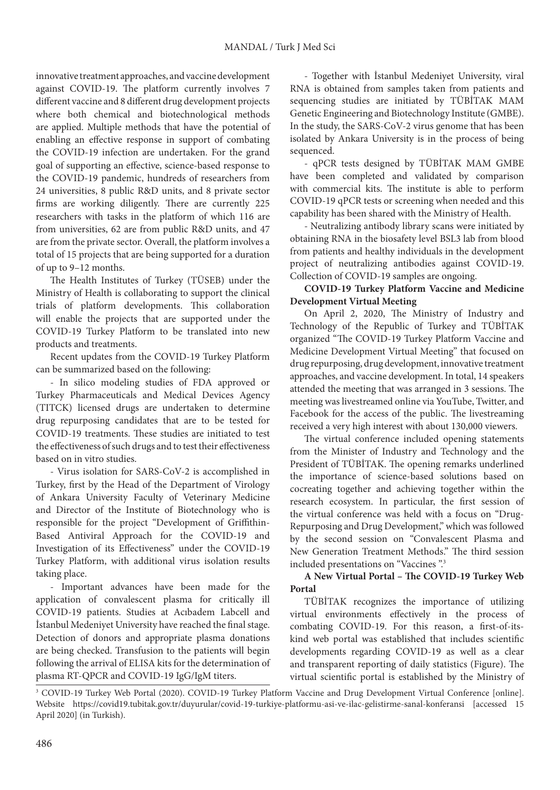innovative treatment approaches, and vaccine development against COVID-19. The platform currently involves 7 different vaccine and 8 different drug development projects where both chemical and biotechnological methods are applied. Multiple methods that have the potential of enabling an effective response in support of combating the COVID-19 infection are undertaken. For the grand goal of supporting an effective, science-based response to the COVID-19 pandemic, hundreds of researchers from 24 universities, 8 public R&D units, and 8 private sector firms are working diligently. There are currently 225 researchers with tasks in the platform of which 116 are from universities, 62 are from public R&D units, and 47 are from the private sector. Overall, the platform involves a total of 15 projects that are being supported for a duration of up to 9–12 months.

The Health Institutes of Turkey (TÜSEB) under the Ministry of Health is collaborating to support the clinical trials of platform developments. This collaboration will enable the projects that are supported under the COVID-19 Turkey Platform to be translated into new products and treatments.

Recent updates from the COVID-19 Turkey Platform can be summarized based on the following:

- In silico modeling studies of FDA approved or Turkey Pharmaceuticals and Medical Devices Agency (TITCK) licensed drugs are undertaken to determine drug repurposing candidates that are to be tested for COVID-19 treatments. These studies are initiated to test the effectiveness of such drugs and to test their effectiveness based on in vitro studies.

- Virus isolation for SARS-CoV-2 is accomplished in Turkey, first by the Head of the Department of Virology of Ankara University Faculty of Veterinary Medicine and Director of the Institute of Biotechnology who is responsible for the project "Development of Griffithin-Based Antiviral Approach for the COVID-19 and Investigation of its Effectiveness" under the COVID-19 Turkey Platform, with additional virus isolation results taking place.

- Important advances have been made for the application of convalescent plasma for critically ill COVID-19 patients. Studies at Acıbadem Labcell and İstanbul Medeniyet University have reached the final stage. Detection of donors and appropriate plasma donations are being checked. Transfusion to the patients will begin following the arrival of ELISA kits for the determination of plasma RT-QPCR and COVID-19 IgG/IgM titers.

- Together with İstanbul Medeniyet University, viral RNA is obtained from samples taken from patients and sequencing studies are initiated by TÜBİTAK MAM Genetic Engineering and Biotechnology Institute (GMBE). In the study, the SARS-CoV-2 virus genome that has been isolated by Ankara University is in the process of being sequenced.

- qPCR tests designed by TÜBİTAK MAM GMBE have been completed and validated by comparison with commercial kits. The institute is able to perform COVID-19 qPCR tests or screening when needed and this capability has been shared with the Ministry of Health.

- Neutralizing antibody library scans were initiated by obtaining RNA in the biosafety level BSL3 lab from blood from patients and healthy individuals in the development project of neutralizing antibodies against COVID-19. Collection of COVID-19 samples are ongoing.

# **COVID-19 Turkey Platform Vaccine and Medicine Development Virtual Meeting**

On April 2, 2020, The Ministry of Industry and Technology of the Republic of Turkey and TÜBİTAK organized "The COVID-19 Turkey Platform Vaccine and Medicine Development Virtual Meeting" that focused on drug repurposing, drug development, innovative treatment approaches, and vaccine development. In total, 14 speakers attended the meeting that was arranged in 3 sessions. The meeting was livestreamed online via YouTube, Twitter, and Facebook for the access of the public. The livestreaming received a very high interest with about 130,000 viewers.

The virtual conference included opening statements from the Minister of Industry and Technology and the President of TÜBİTAK. The opening remarks underlined the importance of science-based solutions based on cocreating together and achieving together within the research ecosystem. In particular, the first session of the virtual conference was held with a focus on "Drug-Repurposing and Drug Development," which was followed by the second session on "Convalescent Plasma and New Generation Treatment Methods." The third session included presentations on "Vaccines".<sup>3</sup>

### **A New Virtual Portal – The COVID-19 Turkey Web Portal**

TÜBİTAK recognizes the importance of utilizing virtual environments effectively in the process of combating COVID-19. For this reason, a first-of-itskind web portal was established that includes scientific developments regarding COVID-19 as well as a clear and transparent reporting of daily statistics (Figure). The virtual scientific portal is established by the Ministry of

<sup>3</sup> COVID-19 Turkey Web Portal (2020). COVID-19 Turkey Platform Vaccine and Drug Development Virtual Conference [online]. Website https://covid19.tubitak.gov.tr/duyurular/covid-19-turkiye-platformu-asi-ve-ilac-gelistirme-sanal-konferansi [accessed 15 April 2020] (in Turkish).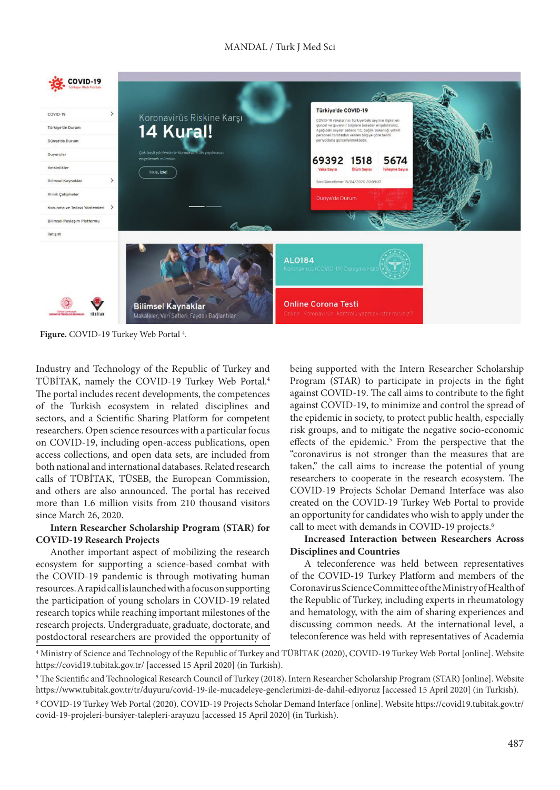# MANDAL / Turk J Med Sci



**Figure.** COVID-19 Turkey Web Portal 4 .

Industry and Technology of the Republic of Turkey and TÜBİTAK, namely the COVID-19 Turkey Web Portal.4 The portal includes recent developments, the competences of the Turkish ecosystem in related disciplines and sectors, and a Scientific Sharing Platform for competent researchers. Open science resources with a particular focus on COVID-19, including open-access publications, open access collections, and open data sets, are included from both national and international databases. Related research calls of TÜBİTAK, TÜSEB, the European Commission, and others are also announced. The portal has received more than 1.6 million visits from 210 thousand visitors since March 26, 2020.

### **Intern Researcher Scholarship Program (STAR) for COVID-19 Research Projects**

Another important aspect of mobilizing the research ecosystem for supporting a science-based combat with the COVID-19 pandemic is through motivating human resources. A rapid call is launched with a focus on supporting the participation of young scholars in COVID-19 related research topics while reaching important milestones of the research projects. Undergraduate, graduate, doctorate, and postdoctoral researchers are provided the opportunity of being supported with the Intern Researcher Scholarship Program (STAR) to participate in projects in the fight against COVID-19. The call aims to contribute to the fight against COVID-19, to minimize and control the spread of the epidemic in society, to protect public health, especially risk groups, and to mitigate the negative socio-economic effects of the epidemic.<sup>5</sup> From the perspective that the "coronavirus is not stronger than the measures that are taken," the call aims to increase the potential of young researchers to cooperate in the research ecosystem. The COVID-19 Projects Scholar Demand Interface was also created on the COVID-19 Turkey Web Portal to provide an opportunity for candidates who wish to apply under the call to meet with demands in COVID-19 projects.<sup>6</sup>

### **Increased Interaction between Researchers Across Disciplines and Countries**

A teleconference was held between representatives of the COVID-19 Turkey Platform and members of the Coronavirus Science Committee of the Ministry of Health of the Republic of Turkey, including experts in rheumatology and hematology, with the aim of sharing experiences and discussing common needs. At the international level, a teleconference was held with representatives of Academia

4 Ministry of Science and Technology of the Republic of Turkey and TÜBİTAK (2020), COVID-19 Turkey Web Portal [online]. Website https://covid19.tubitak.gov.tr/ [accessed 15 April 2020] (in Turkish).

<sup>5</sup> The Scientific and Technological Research Council of Turkey (2018). Intern Researcher Scholarship Program (STAR) [online]. Website https://www.tubitak.gov.tr/tr/duyuru/covid-19-ile-mucadeleye-genclerimizi-de-dahil-ediyoruz [accessed 15 April 2020] (in Turkish).

<sup>6</sup> COVID-19 Turkey Web Portal (2020). COVID-19 Projects Scholar Demand Interface [online]. Website https://covid19.tubitak.gov.tr/ covid-19-projeleri-bursiyer-talepleri-arayuzu [accessed 15 April 2020] (in Turkish).